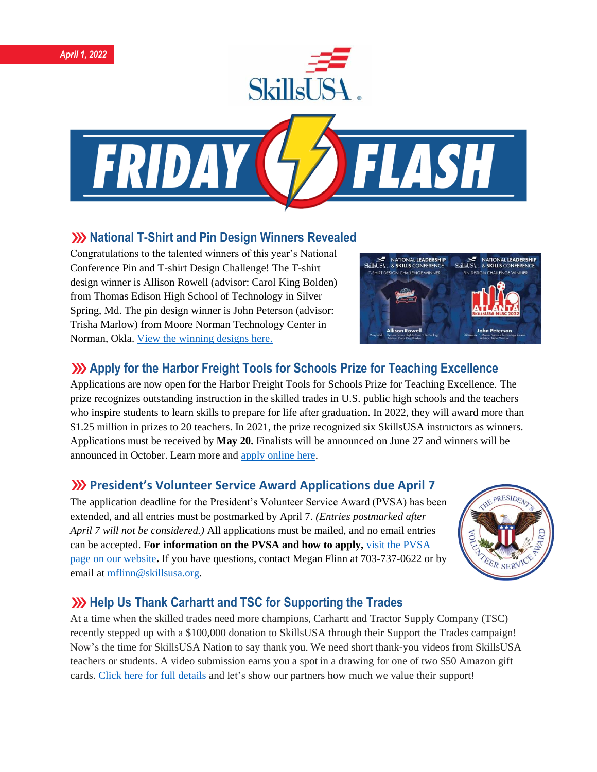



### **XX** National T-Shirt and Pin Design Winners Revealed

Congratulations to the talented winners of this year's National Conference Pin and T-shirt Design Challenge! The T-shirt design winner is Allison Rowell (advisor: Carol King Bolden) from Thomas Edison High School of Technology in Silver Spring, Md. The pin design winner is John Peterson (advisor: Trisha Marlow) from Moore Norman Technology Center in Norman, Okla. [View the winning designs here.](https://www.skillsusa.org/competitions/pin-design-challenge/)



# **Apply for the Harbor Freight Tools for Schools Prize for Teaching Excellence**

Applications are now open for the Harbor Freight Tools for Schools Prize for Teaching Excellence. The prize recognizes outstanding instruction in the skilled trades in U.S. public high schools and the teachers who inspire students to learn skills to prepare for life after graduation. In 2022, they will award more than \$1.25 million in prizes to 20 teachers. In 2021, the prize recognized six SkillsUSA instructors as winners. Applications must be received by **May 20.** Finalists will be announced on June 27 and winners will be announced in October. Learn more and [apply online here.](https://hftforschoolsprize.org/)

# **President's Volunteer Service Award Applications due April 7**

The application deadline for the President's Volunteer Service Award (PVSA) has been extended, and all entries must be postmarked by April 7. *(Entries postmarked after April 7 will not be considered.)* All applications must be mailed, and no email entries can be accepted. **For information on the PVSA and how to apply,** [visit the PVSA](https://www.skillsusa.org/membership-resources/awards/presidents-volunteer-service-award/)  [page on our website](https://www.skillsusa.org/membership-resources/awards/presidents-volunteer-service-award/)**.** If you have questions, contact Megan Flinn at 703-737-0622 or by email at [mflinn@skillsusa.org.](mailto:mflinn@skillsusa.org)



# **Whelp Us Thank Carhartt and TSC for Supporting the Trades**

At a time when the skilled trades need more champions, Carhartt and Tractor Supply Company (TSC) recently stepped up with a \$100,000 donation to SkillsUSA through their Support the Trades campaign! Now's the time for SkillsUSA Nation to say thank you. We need short thank-you videos from SkillsUSA teachers or students. A video submission earns you a spot in a drawing for one of two \$50 Amazon gift cards. Click here for full [details](https://skillsusa.wufoo.com/forms/carhartttsc-thank-you-videos) and let's show our partners how much we value their support!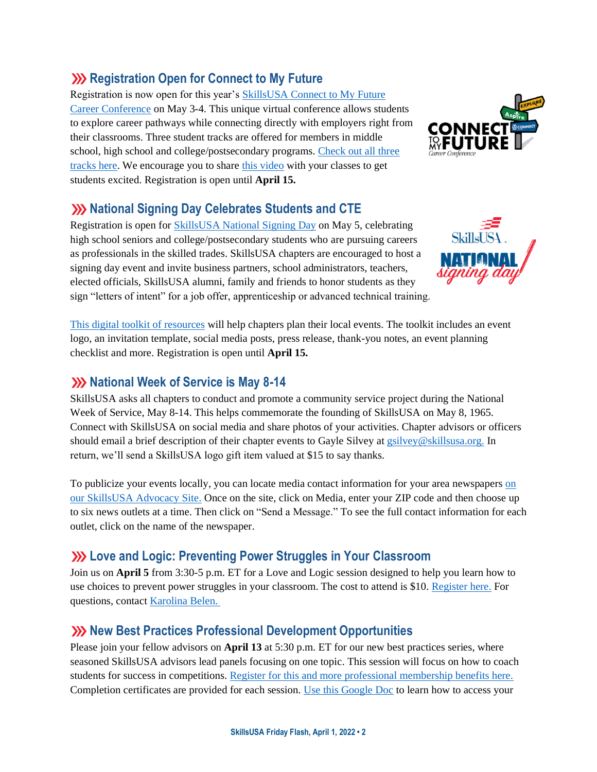# **XXX** Registration Open for Connect to My Future

Registration is now open for this year's [SkillsUSA Connect to My Future](https://www.skillsusa-register.org/Login.aspx)  [Career Conference](https://www.skillsusa-register.org/Login.aspx) on May 3-4. This unique virtual conference allows students to explore career pathways while connecting directly with employers right from their classrooms. Three student tracks are offered for members in middle school, high school and college/postsecondary programs. [Check out all three](https://www.skillsusa.org/events-training/skillsusa-connect-to-my-future-conference/)  [tracks here.](https://www.skillsusa.org/events-training/skillsusa-connect-to-my-future-conference/) We encourage you to share [this video](https://www.youtube.com/watch?v=BA3PfAy7br8) with your classes to get students excited. Registration is open until **April 15.** 

### **XX** National Signing Day Celebrates Students and CTE

Registration is open for [SkillsUSA National Signing Day](https://www.skillsusa.org/events-training/national-signing-day/) on May 5, celebrating high school seniors and college/postsecondary students who are pursuing careers as professionals in the skilled trades. SkillsUSA chapters are encouraged to host a signing day event and invite business partners, school administrators, teachers, elected officials, SkillsUSA alumni, family and friends to honor students as they sign "letters of intent" for a job offer, apprenticeship or advanced technical training.

[This digital toolkit of resources](https://www.skillsusa.org/events-training/national-signing-day/) will help chapters plan their local events. The toolkit includes an event logo, an invitation template, social media posts, press release, thank-you notes, an event planning checklist and more. Registration is open until **April 15.**

#### **XX** National Week of Service is May 8-14

SkillsUSA asks all chapters to conduct and promote a community service project during the National Week of Service, May 8-14. This helps commemorate the founding of SkillsUSA on May 8, 1965. Connect with SkillsUSA on social media and share photos of your activities. Chapter advisors or officers should email a brief description of their chapter events to Gayle Silvey a[t gsilvey@skillsusa.org.](mailto:gsilvey@skillsusa.org) In return, we'll send a SkillsUSA logo gift item valued at \$15 to say thanks.

To publicize your events locally, you can locate media contact information for your area newspapers [on](https://www.congressweb.com/susa#/media)  [our SkillsUSA Advocacy Site.](https://www.congressweb.com/susa#/media) Once on the site, click on Media, enter your ZIP code and then choose up to six news outlets at a time. Then click on "Send a Message." To see the full contact information for each outlet, click on the name of the newspaper.

# **Love and Logic: Preventing Power Struggles in Your Classroom**

Join us on **April 5** from 3:30-5 p.m. ET for a Love and Logic session designed to help you learn how to use choices to prevent power struggles in your classroom. The cost to attend is \$10. [Register here.](https://skillsusa.wufoo.com/forms/love-and-logic-and-technical-fridays-registration) For questions, contact [Karolina Belen.](mailto:kbelen@skillsusa.org)

# **XX** New Best Practices Professional Development Opportunities

Please join your fellow advisors on **April 13** at 5:30 p.m. ET for our new best practices series, where seasoned SkillsUSA advisors lead panels focusing on one topic. This session will focus on how to coach students for success in competitions. [Register for this and more professional membership benefits here.](https://absorb.skillsusa.org/#/dashboard) Completion certificates are provided for each session. [Use this Google Doc](https://docs.google.com/document/d/1d2EvwsmdelNzm-WK7pTGSokJTbWZXcFDOODai32SGzk/edit) to learn how to access your



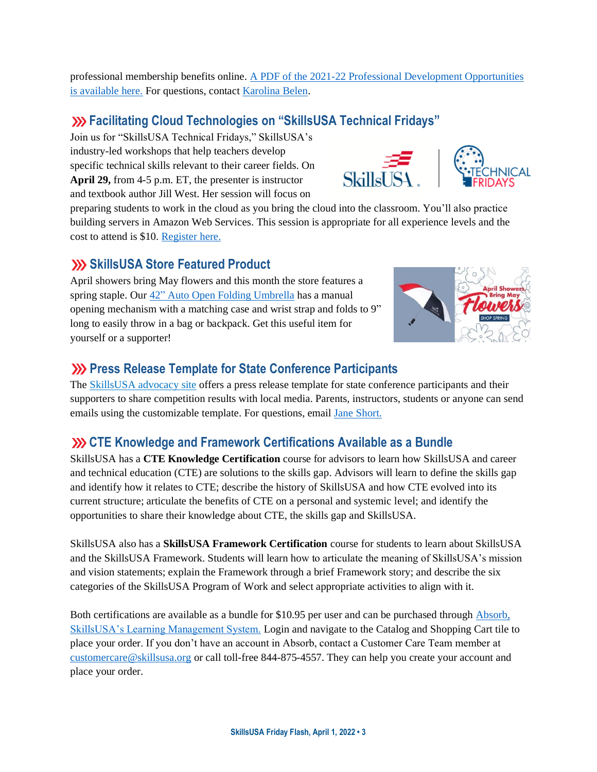professional membership benefits online. [A PDF of the 2021-22 Professional Development Opportunities](https://www.skillsusa.org/wp-content/uploads/2021/09/SkillsUSA-2021-Professional-Development-Opportunities-v9.pdf)  [is available here.](https://www.skillsusa.org/wp-content/uploads/2021/09/SkillsUSA-2021-Professional-Development-Opportunities-v9.pdf) For questions, contact [Karolina Belen.](mailto:kbelen@skillsusa.org)

# **Facilitating Cloud Technologies on "SkillsUSA Technical Fridays"**

Join us for "SkillsUSA Technical Fridays," SkillsUSA's industry-led workshops that help teachers develop specific technical skills relevant to their career fields. On **April 29,** from 4-5 p.m. ET, the presenter is instructor and textbook author Jill West. Her session will focus on

preparing students to work in the cloud as you bring the cloud into the classroom. You'll also practice building servers in Amazon Web Services. This session is appropriate for all experience levels and the cost to attend is \$10. [Register here.](https://skillsusa.wufoo.com/forms/love-and-logic-and-technical-fridays-registration)

SkillsUSA

# **SkillsUSA Store Featured Product**

April showers bring May flowers and this month the store features a spring staple. Our 42" [Auto Open Folding Umbrella](https://skillsusastore.org/products/187428) has a manual opening mechanism with a matching case and wrist strap and folds to 9" long to easily throw in a bag or backpack. Get this useful item for yourself or a supporter!

# **EXECUTE:** Press Release Template for State Conference Participants

The [SkillsUSA advocacy site](https://www.congressweb.com/susa/#/) offers a press release template for state conference participants and their supporters to share competition results with local media. Parents, instructors, students or anyone can send emails using the customizable template. For questions, email [Jane Short.](mailto:jshort@skillsusa.org)

# **CTE Knowledge and Framework Certifications Available as a Bundle**

SkillsUSA has a **CTE Knowledge Certification** course for advisors to learn how SkillsUSA and career and technical education (CTE) are solutions to the skills gap. Advisors will learn to define the skills gap and identify how it relates to CTE; describe the history of SkillsUSA and how CTE evolved into its current structure; articulate the benefits of CTE on a personal and systemic level; and identify the opportunities to share their knowledge about CTE, the skills gap and SkillsUSA.

SkillsUSA also has a **SkillsUSA Framework Certification** course for students to learn about SkillsUSA and the SkillsUSA Framework. Students will learn how to articulate the meaning of SkillsUSA's mission and vision statements; explain the Framework through a brief Framework story; and describe the six categories of the SkillsUSA Program of Work and select appropriate activities to align with it.

Both certifications are available as a bundle for \$10.95 per user and can be purchased throug[h Absorb,](https://absorb.skillsusa.org/)  [SkillsUSA's Learning Management System.](https://absorb.skillsusa.org/) Login and navigate to the Catalog and Shopping Cart tile to place your order. If you don't have an account in Absorb, contact a Customer Care Team member at [customercare@skillsusa.org](mailto:customercare@skillsusa.org) or call toll-free 844-875-4557. They can help you create your account and place your order.



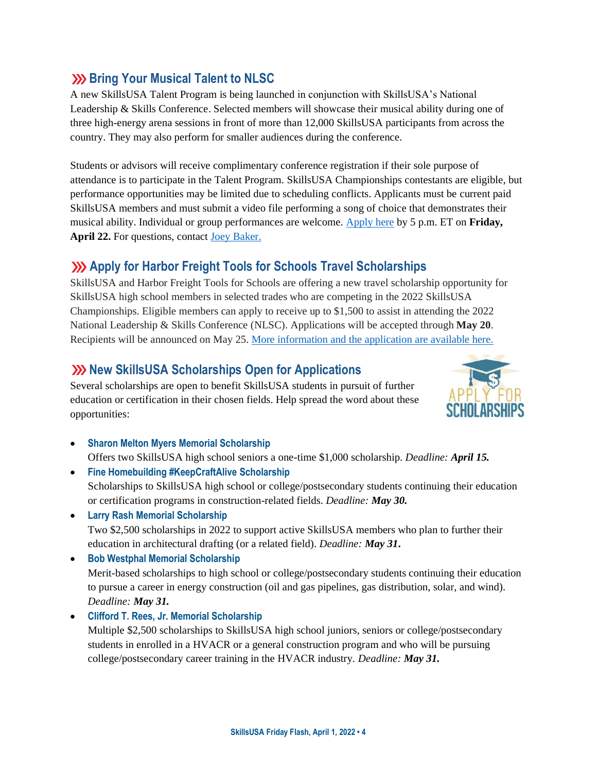# **Bring Your Musical Talent to NLSC**

A new SkillsUSA Talent Program is being launched in conjunction with SkillsUSA's National Leadership & Skills Conference. Selected members will showcase their musical ability during one of three high-energy arena sessions in front of more than 12,000 SkillsUSA participants from across the country. They may also perform for smaller audiences during the conference.

Students or advisors will receive complimentary conference registration if their sole purpose of attendance is to participate in the Talent Program. SkillsUSA Championships contestants are eligible, but performance opportunities may be limited due to scheduling conflicts. Applicants must be current paid SkillsUSA members and must submit a video file performing a song of choice that demonstrates their musical ability. Individual or group performances are welcome. [Apply here](https://skillsusa.wufoo.com/forms/r3mvb5155fzzs/) by 5 p.m. ET on **Friday, April 22.** For questions, contact [Joey Baker.](mailto:jbaker@skillsusa.org)

# **Apply for Harbor Freight Tools for Schools Travel Scholarships**

SkillsUSA and Harbor Freight Tools for Schools are offering a new travel scholarship opportunity for SkillsUSA high school members in selected trades who are competing in the 2022 SkillsUSA Championships. Eligible members can apply to receive up to \$1,500 to assist in attending the 2022 National Leadership & Skills Conference (NLSC). Applications will be accepted through **May 20**. Recipients will be announced on May 25. More [information](https://skillsusa.wufoo.com/forms/rjr8ngm1s8mjnq) and the application are available here.

### **XX New SkillsUSA Scholarships Open for Applications**

Several scholarships are open to benefit SkillsUSA students in pursuit of further education or certification in their chosen fields. Help spread the word about these opportunities:



- **Sharon Melton Myers Memorial Scholarship** Offers two SkillsUSA high school seniors a one-time \$1,000 scholarship. *Deadline: April 15.*
- **Fine Homebuilding #KeepCraftAlive Scholarship** Scholarships to SkillsUSA high school or college/postsecondary students continuing their education or certification programs in construction-related fields. *Deadline: May 30.*
- **Larry Rash Memorial Scholarship**  Two \$2,500 scholarships in 2022 to support active SkillsUSA members who plan to further their education in architectural drafting (or a related field). *Deadline: May 31***.**
- **Bob Westphal Memorial Scholarship**

Merit-based scholarships to high school or college/postsecondary students continuing their education to pursue a career in energy construction (oil and gas pipelines, gas distribution, solar, and wind). *Deadline: May 31.*

• **Clifford T. Rees, Jr. Memorial Scholarship**

Multiple \$2,500 scholarships to SkillsUSA high school juniors, seniors or college/postsecondary students in enrolled in a HVACR or a general construction program and who will be pursuing college/postsecondary career training in the HVACR industry. *Deadline: May 31.*